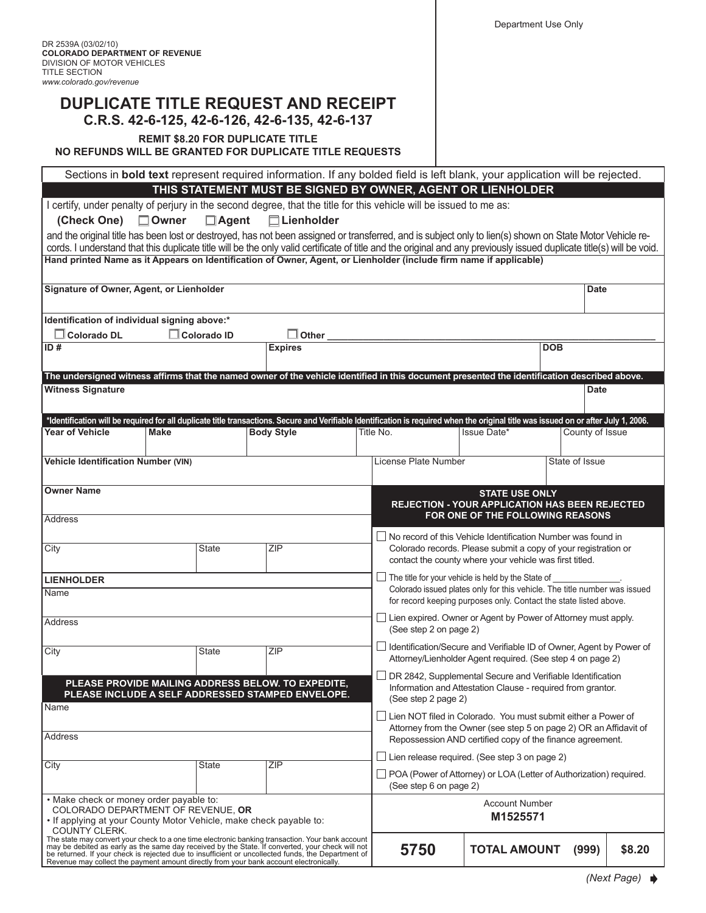## **DUPLICATE TITLE REQUEST AND RECEIPT C.R.S. 42-6-125, 42-6-126, 42-6-135, 42-6-137**

**REMIT \$8.20 FOR DUPLICATE TITLE**

**No refunds will be granted for duplicate title requests**

Sections in **bold text** represent required information. If any bolded field is left blank, your application will be rejected.

**THIS STATEMENT MUST BE SIGNED BY OWNER, AGENT OR LIENHOLDER**

I certify, under penalty of perjury in the second degree, that the title for this vehicle will be issued to me as:

**(Check One) Owner Agent Lienholder**

| and the original title has been lost or destroyed, has not been assigned or transferred, and is subject only to lien(s) shown on State Motor Vehicle re-<br>cords. I understand that this duplicate title will be the only valid certificate of title and the original and any previously issued duplicate title(s) will be void.                                                                                     |                                                                                                                                                                                                                   | $\equiv$ $\sim$ |  |                                                                                                                                                                                                             |                                  |  |                 |        |  |
|-----------------------------------------------------------------------------------------------------------------------------------------------------------------------------------------------------------------------------------------------------------------------------------------------------------------------------------------------------------------------------------------------------------------------|-------------------------------------------------------------------------------------------------------------------------------------------------------------------------------------------------------------------|-----------------|--|-------------------------------------------------------------------------------------------------------------------------------------------------------------------------------------------------------------|----------------------------------|--|-----------------|--------|--|
| Hand printed Name as it Appears on Identification of Owner, Agent, or Lienholder (include firm name if applicable)                                                                                                                                                                                                                                                                                                    |                                                                                                                                                                                                                   |                 |  |                                                                                                                                                                                                             |                                  |  |                 |        |  |
| Signature of Owner, Agent, or Lienholder                                                                                                                                                                                                                                                                                                                                                                              |                                                                                                                                                                                                                   |                 |  |                                                                                                                                                                                                             |                                  |  |                 | Date   |  |
| Identification of individual signing above:*                                                                                                                                                                                                                                                                                                                                                                          |                                                                                                                                                                                                                   |                 |  |                                                                                                                                                                                                             |                                  |  |                 |        |  |
| <b>L</b> Colorado DL<br>ID#                                                                                                                                                                                                                                                                                                                                                                                           | $\Box$ Colorado ID<br>$\Box$ Other<br><b>Expires</b>                                                                                                                                                              |                 |  | <b>DOB</b>                                                                                                                                                                                                  |                                  |  |                 |        |  |
|                                                                                                                                                                                                                                                                                                                                                                                                                       |                                                                                                                                                                                                                   |                 |  |                                                                                                                                                                                                             |                                  |  |                 |        |  |
| The undersigned witness affirms that the named owner of the vehicle identified in this document presented the identification described above.<br><b>Witness Signature</b>                                                                                                                                                                                                                                             |                                                                                                                                                                                                                   |                 |  |                                                                                                                                                                                                             |                                  |  |                 |        |  |
|                                                                                                                                                                                                                                                                                                                                                                                                                       |                                                                                                                                                                                                                   |                 |  |                                                                                                                                                                                                             |                                  |  | <b>Date</b>     |        |  |
| <b>Year of Vehicle</b>                                                                                                                                                                                                                                                                                                                                                                                                | *Identification will be required for all duplicate title transactions. Secure and Verifiable Identification is required when the original title was issued on or after July 1, 2006.<br><b>Body Style</b><br>Make |                 |  | Title No.<br>Issue Date*                                                                                                                                                                                    |                                  |  | County of Issue |        |  |
| Vehicle Identification Number (VIN)                                                                                                                                                                                                                                                                                                                                                                                   |                                                                                                                                                                                                                   |                 |  | License Plate Number                                                                                                                                                                                        | State of Issue                   |  |                 |        |  |
| <b>Owner Name</b>                                                                                                                                                                                                                                                                                                                                                                                                     |                                                                                                                                                                                                                   |                 |  | <b>STATE USE ONLY</b><br><b>REJECTION - YOUR APPLICATION HAS BEEN REJECTED</b>                                                                                                                              |                                  |  |                 |        |  |
| Address                                                                                                                                                                                                                                                                                                                                                                                                               |                                                                                                                                                                                                                   |                 |  |                                                                                                                                                                                                             | FOR ONE OF THE FOLLOWING REASONS |  |                 |        |  |
| City                                                                                                                                                                                                                                                                                                                                                                                                                  | <b>State</b>                                                                                                                                                                                                      | ZIP             |  | No record of this Vehicle Identification Number was found in<br>Colorado records. Please submit a copy of your registration or<br>contact the county where your vehicle was first titled.                   |                                  |  |                 |        |  |
| <b>LIENHOLDER</b>                                                                                                                                                                                                                                                                                                                                                                                                     |                                                                                                                                                                                                                   |                 |  | $\Box$ The title for your vehicle is held by the State of<br>Colorado issued plates only for this vehicle. The title number was issued<br>for record keeping purposes only. Contact the state listed above. |                                  |  |                 |        |  |
| Name                                                                                                                                                                                                                                                                                                                                                                                                                  |                                                                                                                                                                                                                   |                 |  |                                                                                                                                                                                                             |                                  |  |                 |        |  |
| <b>Address</b>                                                                                                                                                                                                                                                                                                                                                                                                        |                                                                                                                                                                                                                   |                 |  | Lien expired. Owner or Agent by Power of Attorney must apply.<br>(See step 2 on page 2)                                                                                                                     |                                  |  |                 |        |  |
| City                                                                                                                                                                                                                                                                                                                                                                                                                  | State                                                                                                                                                                                                             | ZIP             |  | Identification/Secure and Verifiable ID of Owner, Agent by Power of<br>Attorney/Lienholder Agent required. (See step 4 on page 2)                                                                           |                                  |  |                 |        |  |
| PLEASE PROVIDE MAILING ADDRESS BELOW. TO EXPEDITE,<br>PLEASE INCLUDE A SELF ADDRESSED STAMPED ENVELOPE.                                                                                                                                                                                                                                                                                                               |                                                                                                                                                                                                                   |                 |  | DR 2842, Supplemental Secure and Verifiable Identification<br>Information and Attestation Clause - required from grantor.<br>(See step 2 page 2)                                                            |                                  |  |                 |        |  |
| Name<br>Address                                                                                                                                                                                                                                                                                                                                                                                                       |                                                                                                                                                                                                                   |                 |  | $\Box$ Lien NOT filed in Colorado. You must submit either a Power of<br>Attorney from the Owner (see step 5 on page 2) OR an Affidavit of                                                                   |                                  |  |                 |        |  |
|                                                                                                                                                                                                                                                                                                                                                                                                                       |                                                                                                                                                                                                                   |                 |  | Repossession AND certified copy of the finance agreement.<br>Lien release required. (See step 3 on page 2)                                                                                                  |                                  |  |                 |        |  |
| City                                                                                                                                                                                                                                                                                                                                                                                                                  | State                                                                                                                                                                                                             | ZIP             |  | $\Box$ POA (Power of Attorney) or LOA (Letter of Authorization) required.<br>(See step 6 on page 2)                                                                                                         |                                  |  |                 |        |  |
| • Make check or money order payable to:<br>COLORADO DEPARTMENT OF REVENUE, OR<br>. If applying at your County Motor Vehicle, make check payable to:                                                                                                                                                                                                                                                                   |                                                                                                                                                                                                                   |                 |  | <b>Account Number</b><br>M1525571                                                                                                                                                                           |                                  |  |                 |        |  |
| COUNTY CLERK.<br>The state may convert your check to a one time electronic banking transaction. Your bank account<br>may be debited as early as the same day received by the State. If converted, your check will not<br>be returned. If your check is rejected due to insufficient or uncollected funds, the Department of<br>Revenue may collect the payment amount directly from your bank account electronically. |                                                                                                                                                                                                                   |                 |  | 5750                                                                                                                                                                                                        | <b>TOTAL AMOUNT</b>              |  | (999)           | \$8.20 |  |

*(Next Page)*